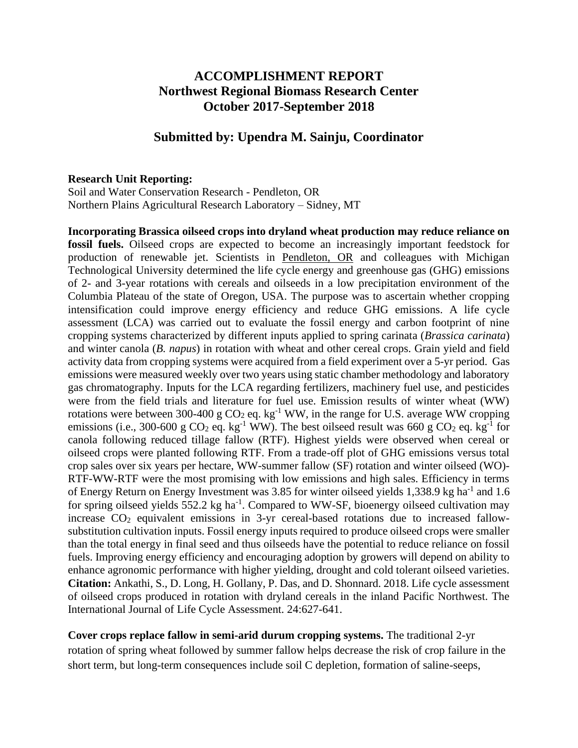## **ACCOMPLISHMENT REPORT Northwest Regional Biomass Research Center October 2017-September 2018**

## **Submitted by: Upendra M. Sainju, Coordinator**

## **Research Unit Reporting:**

Soil and Water Conservation Research - Pendleton, OR Northern Plains Agricultural Research Laboratory – Sidney, MT

**Incorporating Brassica oilseed crops into dryland wheat production may reduce reliance on fossil fuels.** Oilseed crops are expected to become an increasingly important feedstock for production of renewable jet. Scientists in Pendleton, OR and colleagues with Michigan Technological University determined the life cycle energy and greenhouse gas (GHG) emissions of 2- and 3-year rotations with cereals and oilseeds in a low precipitation environment of the Columbia Plateau of the state of Oregon, USA. The purpose was to ascertain whether cropping intensification could improve energy efficiency and reduce GHG emissions. A life cycle assessment (LCA) was carried out to evaluate the fossil energy and carbon footprint of nine cropping systems characterized by different inputs applied to spring carinata (*Brassica carinata*) and winter canola (*B. napus*) in rotation with wheat and other cereal crops. Grain yield and field activity data from cropping systems were acquired from a field experiment over a 5-yr period. Gas emissions were measured weekly over two years using static chamber methodology and laboratory gas chromatography. Inputs for the LCA regarding fertilizers, machinery fuel use, and pesticides were from the field trials and literature for fuel use. Emission results of winter wheat (WW) rotations were between 300-400 g  $CO<sub>2</sub>$  eq. kg<sup>-1</sup> WW, in the range for U.S. average WW cropping emissions (i.e., 300-600 g CO<sub>2</sub> eq. kg<sup>-1</sup> WW). The best oilseed result was 660 g CO<sub>2</sub> eq. kg<sup>-1</sup> for canola following reduced tillage fallow (RTF). Highest yields were observed when cereal or oilseed crops were planted following RTF. From a trade-off plot of GHG emissions versus total crop sales over six years per hectare, WW-summer fallow (SF) rotation and winter oilseed (WO)- RTF-WW-RTF were the most promising with low emissions and high sales. Efficiency in terms of Energy Return on Energy Investment was 3.85 for winter oilseed yields 1,338.9 kg ha<sup>-1</sup> and 1.6 for spring oilseed yields 552.2 kg ha<sup>-1</sup>. Compared to WW-SF, bioenergy oilseed cultivation may increase  $CO<sub>2</sub>$  equivalent emissions in 3-yr cereal-based rotations due to increased fallowsubstitution cultivation inputs. Fossil energy inputs required to produce oilseed crops were smaller than the total energy in final seed and thus oilseeds have the potential to reduce reliance on fossil fuels. Improving energy efficiency and encouraging adoption by growers will depend on ability to enhance agronomic performance with higher yielding, drought and cold tolerant oilseed varieties. **Citation:** Ankathi, S., D. Long, H. Gollany, P. Das, and D. Shonnard. 2018. Life cycle assessment of oilseed crops produced in rotation with dryland cereals in the inland Pacific Northwest. The International Journal of Life Cycle Assessment. 24:627-641.

**Cover crops replace fallow in semi-arid durum cropping systems.** The traditional 2-yr rotation of spring wheat followed by summer fallow helps decrease the risk of crop failure in the short term, but long-term consequences include soil C depletion, formation of saline-seeps,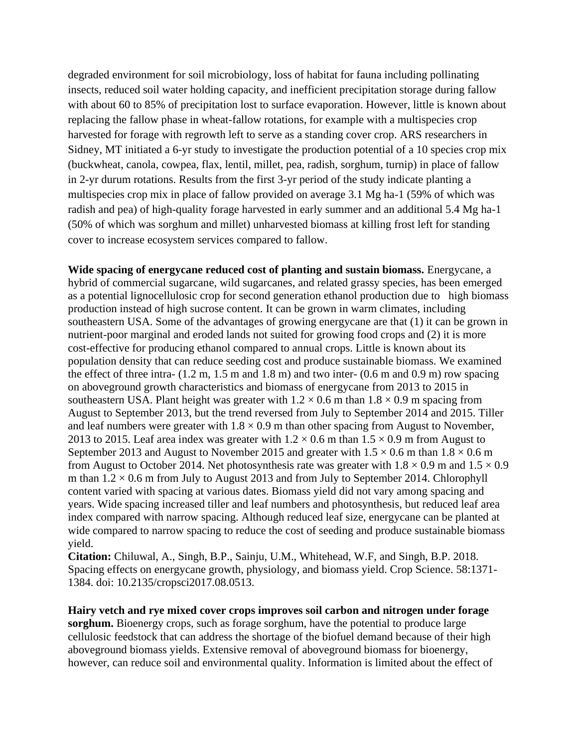degraded environment for soil microbiology, loss of habitat for fauna including pollinating insects, reduced soil water holding capacity, and inefficient precipitation storage during fallow with about 60 to 85% of precipitation lost to surface evaporation. However, little is known about replacing the fallow phase in wheat-fallow rotations, for example with a multispecies crop harvested for forage with regrowth left to serve as a standing cover crop. ARS researchers in Sidney, MT initiated a 6-yr study to investigate the production potential of a 10 species crop mix (buckwheat, canola, cowpea, flax, lentil, millet, pea, radish, sorghum, turnip) in place of fallow in 2-yr durum rotations. Results from the first 3-yr period of the study indicate planting a multispecies crop mix in place of fallow provided on average 3.1 Mg ha-1 (59% of which was radish and pea) of high-quality forage harvested in early summer and an additional 5.4 Mg ha-1 (50% of which was sorghum and millet) unharvested biomass at killing frost left for standing cover to increase ecosystem services compared to fallow.

**Wide spacing of energycane reduced cost of planting and sustain biomass.** Energycane, a hybrid of commercial sugarcane, wild sugarcanes, and related grassy species, has been emerged as a potential lignocellulosic crop for second generation ethanol production due to high biomass production instead of high sucrose content. It can be grown in warm climates, including southeastern USA. Some of the advantages of growing energycane are that (1) it can be grown in nutrient-poor marginal and eroded lands not suited for growing food crops and (2) it is more cost-effective for producing ethanol compared to annual crops. Little is known about its population density that can reduce seeding cost and produce sustainable biomass. We examined the effect of three intra- (1.2 m, 1.5 m and 1.8 m) and two inter- (0.6 m and 0.9 m) row spacing on aboveground growth characteristics and biomass of energycane from 2013 to 2015 in southeastern USA. Plant height was greater with  $1.2 \times 0.6$  m than  $1.8 \times 0.9$  m spacing from August to September 2013, but the trend reversed from July to September 2014 and 2015. Tiller and leaf numbers were greater with  $1.8 \times 0.9$  m than other spacing from August to November, 2013 to 2015. Leaf area index was greater with  $1.2 \times 0.6$  m than  $1.5 \times 0.9$  m from August to September 2013 and August to November 2015 and greater with  $1.5 \times 0.6$  m than  $1.8 \times 0.6$  m from August to October 2014. Net photosynthesis rate was greater with  $1.8 \times 0.9$  m and  $1.5 \times 0.9$ m than  $1.2 \times 0.6$  m from July to August 2013 and from July to September 2014. Chlorophyll content varied with spacing at various dates. Biomass yield did not vary among spacing and years. Wide spacing increased tiller and leaf numbers and photosynthesis, but reduced leaf area index compared with narrow spacing. Although reduced leaf size, energycane can be planted at wide compared to narrow spacing to reduce the cost of seeding and produce sustainable biomass yield.

**Citation:** Chiluwal, A., Singh, B.P., Sainju, U.M., Whitehead, W.F, and Singh, B.P. 2018. Spacing effects on energycane growth, physiology, and biomass yield. Crop Science. 58:1371- 1384. doi: 10.2135/cropsci2017.08.0513.

**Hairy vetch and rye mixed cover crops improves soil carbon and nitrogen under forage sorghum.** Bioenergy crops, such as forage sorghum, have the potential to produce large cellulosic feedstock that can address the shortage of the biofuel demand because of their high aboveground biomass yields. Extensive removal of aboveground biomass for bioenergy, however, can reduce soil and environmental quality. Information is limited about the effect of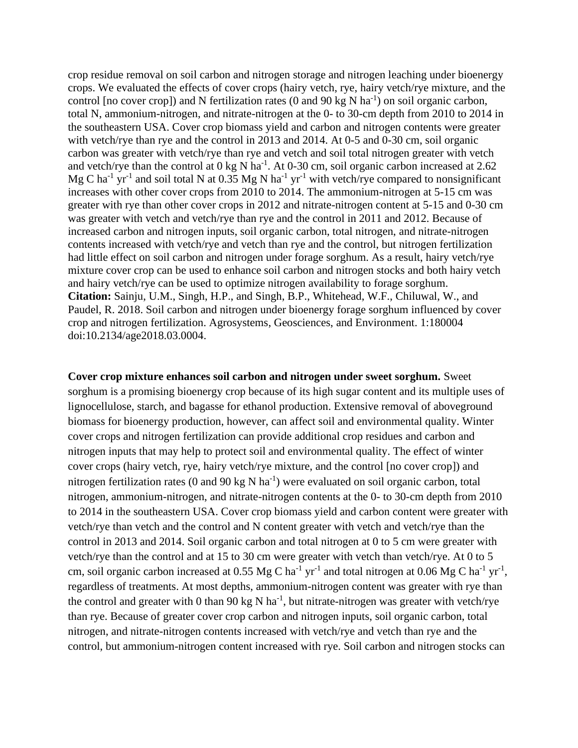crop residue removal on soil carbon and nitrogen storage and nitrogen leaching under bioenergy crops. We evaluated the effects of cover crops (hairy vetch, rye, hairy vetch/rye mixture, and the control [no cover crop]) and N fertilization rates  $(0 \text{ and } 90 \text{ kg N ha}^{-1})$  on soil organic carbon, total N, ammonium-nitrogen, and nitrate-nitrogen at the 0- to 30-cm depth from 2010 to 2014 in the southeastern USA. Cover crop biomass yield and carbon and nitrogen contents were greater with vetch/rye than rye and the control in 2013 and 2014. At 0-5 and 0-30 cm, soil organic carbon was greater with vetch/rye than rye and vetch and soil total nitrogen greater with vetch and vetch/rye than the control at  $0 \text{ kg N}$  ha<sup>-1</sup>. At 0-30 cm, soil organic carbon increased at 2.62 Mg C ha<sup>-1</sup> yr<sup>-1</sup> and soil total N at 0.35 Mg N ha<sup>-1</sup> yr<sup>-1</sup> with vetch/rye compared to nonsignificant increases with other cover crops from 2010 to 2014. The ammonium-nitrogen at 5-15 cm was greater with rye than other cover crops in 2012 and nitrate-nitrogen content at 5-15 and 0-30 cm was greater with vetch and vetch/rye than rye and the control in 2011 and 2012. Because of increased carbon and nitrogen inputs, soil organic carbon, total nitrogen, and nitrate-nitrogen contents increased with vetch/rye and vetch than rye and the control, but nitrogen fertilization had little effect on soil carbon and nitrogen under forage sorghum. As a result, hairy vetch/rye mixture cover crop can be used to enhance soil carbon and nitrogen stocks and both hairy vetch and hairy vetch/rye can be used to optimize nitrogen availability to forage sorghum. **Citation:** Sainju, U.M., Singh, H.P., and Singh, B.P., Whitehead, W.F., Chiluwal, W., and Paudel, R. 2018. Soil carbon and nitrogen under bioenergy forage sorghum influenced by cover crop and nitrogen fertilization. Agrosystems, Geosciences, and Environment. 1:180004 doi:10.2134/age2018.03.0004.

**Cover crop mixture enhances soil carbon and nitrogen under sweet sorghum.** Sweet sorghum is a promising bioenergy crop because of its high sugar content and its multiple uses of lignocellulose, starch, and bagasse for ethanol production. Extensive removal of aboveground biomass for bioenergy production, however, can affect soil and environmental quality. Winter cover crops and nitrogen fertilization can provide additional crop residues and carbon and nitrogen inputs that may help to protect soil and environmental quality. The effect of winter cover crops (hairy vetch, rye, hairy vetch/rye mixture, and the control [no cover crop]) and nitrogen fertilization rates (0 and 90 kg N ha<sup>-1</sup>) were evaluated on soil organic carbon, total nitrogen, ammonium-nitrogen, and nitrate-nitrogen contents at the 0- to 30-cm depth from 2010 to 2014 in the southeastern USA. Cover crop biomass yield and carbon content were greater with vetch/rye than vetch and the control and N content greater with vetch and vetch/rye than the control in 2013 and 2014. Soil organic carbon and total nitrogen at 0 to 5 cm were greater with vetch/rye than the control and at 15 to 30 cm were greater with vetch than vetch/rye. At 0 to 5 cm, soil organic carbon increased at 0.55 Mg C ha<sup>-1</sup> yr<sup>-1</sup> and total nitrogen at 0.06 Mg C ha<sup>-1</sup> yr<sup>-1</sup>, regardless of treatments. At most depths, ammonium-nitrogen content was greater with rye than the control and greater with 0 than 90 kg N ha<sup>-1</sup>, but nitrate-nitrogen was greater with vetch/rye than rye. Because of greater cover crop carbon and nitrogen inputs, soil organic carbon, total nitrogen, and nitrate-nitrogen contents increased with vetch/rye and vetch than rye and the control, but ammonium-nitrogen content increased with rye. Soil carbon and nitrogen stocks can